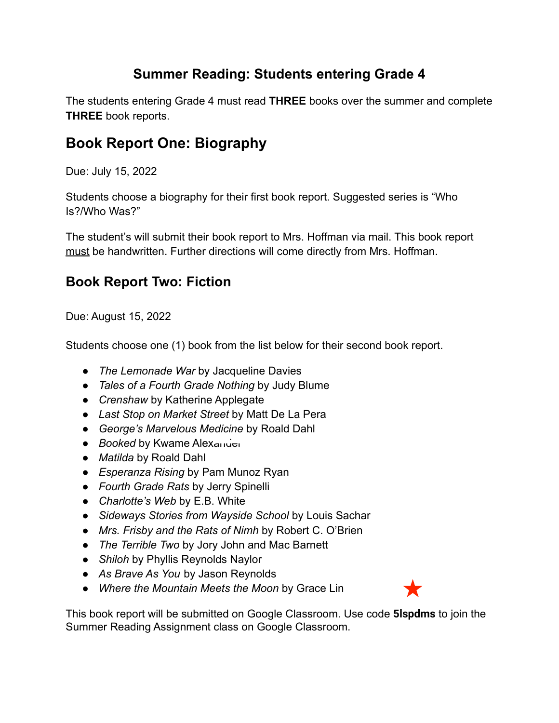## **Summer Reading: Students entering Grade 4**

The students entering Grade 4 must read **THREE** books over the summer and complete **THREE** book reports.

## **Book Report One: Biography**

Due: July 15, 2022

Students choose a biography for their first book report. Suggested series is "Who Is?/Who Was?"

The student's will submit their book report to Mrs. Hoffman via mail. This book report must be handwritten. Further directions will come directly from Mrs. Hoffman.

## **Book Report Two: Fiction**

Due: August 15, 2022

Students choose one (1) book from the list below for their second book report.

- *● The Lemonade War* by Jacqueline Davies
- *● Tales of a Fourth Grade Nothing* by Judy Blume
- *● Crenshaw* by Katherine Applegate
- *● Last Stop on Market Street* by Matt De La Pera
- *● George's Marvelous Medicine* by Roald Dahl
- *Booked* by Kwame Alexander
- *● Matilda* by Roald Dahl
- *● Esperanza Rising* by Pam Munoz Ryan
- *● Fourth Grade Rats* by Jerry Spinelli
- *● Charlotte's Web* by E.B. White
- *● Sideways Stories from Wayside School* by Louis Sachar
- *● Mrs. Frisby and the Rats of Nimh* by Robert C. O'Brien
- *● The Terrible Two* by Jory John and Mac Barnett
- *● Shiloh* by Phyllis Reynolds Naylor
- *● As Brave As You* by Jason Reynolds
- *● Where the Mountain Meets the Moon* by Grace Lin



This book report will be submitted on Google Classroom. Use code **5lspdms** to join the Summer Reading Assignment class on Google Classroom.